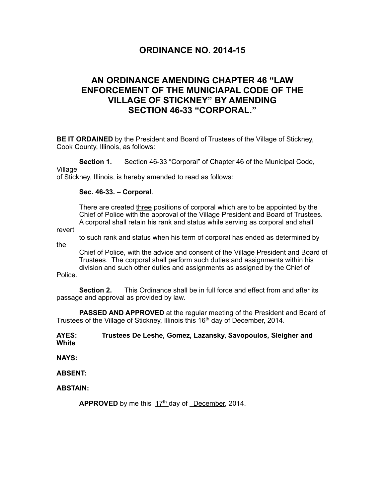# **ORDINANCE NO. 2014-15**

# **AN ORDINANCE AMENDING CHAPTER 46 "LAW ENFORCEMENT OF THE MUNICIAPAL CODE OF THE VILLAGE OF STICKNEY" BY AMENDING SECTION 46-33 "CORPORAL."**

**BE IT ORDAINED** by the President and Board of Trustees of the Village of Stickney, Cook County, Illinois, as follows:

**Section 1.** Section 46-33 "Corporal" of Chapter 46 of the Municipal Code, Village

of Stickney, Illinois, is hereby amended to read as follows:

## **Sec. 46-33. – Corporal**.

 There are created three positions of corporal which are to be appointed by the Chief of Police with the approval of the Village President and Board of Trustees. A corporal shall retain his rank and status while serving as corporal and shall

revert

the

to such rank and status when his term of corporal has ended as determined by

 Chief of Police, with the advice and consent of the Village President and Board of Trustees. The corporal shall perform such duties and assignments within his division and such other duties and assignments as assigned by the Chief of

Police.

**Section 2.** This Ordinance shall be in full force and effect from and after its passage and approval as provided by law.

**PASSED AND APPROVED** at the regular meeting of the President and Board of Trustees of the Village of Stickney, Illinois this 16<sup>th</sup> day of December, 2014.

#### **AYES: Trustees De Leshe, Gomez, Lazansky, Savopoulos, Sleigher and White**

**NAYS:**

### **ABSENT:**

**ABSTAIN:**

**APPROVED** by me this 17<sup>th</sup> day of December, 2014.